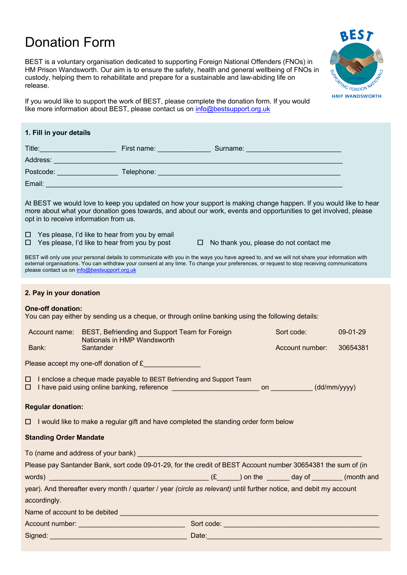# Donation Form

BEST is a voluntary organisation dedicated to supporting Foreign National Offenders (FNOs) in HM Prison Wandsworth. Our aim is to ensure the safety, health and general wellbeing of FNOs in custody, helping them to rehabilitate and prepare for a sustainable and law-abiding life on release.

If you would like to support the work of BEST, please complete the donation form. If you would like more information about BEST, please contact us on info@bestsupport.org.uk

#### **1. Fill in your details**

| Title:    | First name: | Surname: |  |
|-----------|-------------|----------|--|
| Address:  |             |          |  |
| Postcode: | Telephone:  |          |  |
| Email:    |             |          |  |

At BEST we would love to keep you updated on how your support is making change happen. If you would like to hear more about what your donation goes towards, and about our work, events and opportunities to get involved, please opt in to receive information from us.

- $\square$  Yes please, I'd like to hear from you by email
- $\Box$  Yes please, I'd like to hear from you by post  $\Box$  No thank you, please do not contact me
	-

BEST will only use your personal details to communicate with you in the ways you have agreed to, and we will not share your information with external organisations. You can withdraw your consent at any time. To change your preferences, or request to stop receiving communications please contact us on info@bestsupport.org.uk

## **2. Pay in your donation**

## **One-off donation:**

You can pay either by sending us a cheque, or through online banking using the following details:

| Account name: | BEST, Befriending and Support Team for Foreign<br>Nationals in HMP Wandsworth | Sort code:      | $09-01-29$ |
|---------------|-------------------------------------------------------------------------------|-----------------|------------|
| Bank:         | Santander                                                                     | Account number: | 30654381   |
|               | Please accept my one-off donation of £                                        |                 |            |

 $\Box$  I enclose a cheque made payable to BEST Befriending and Support Team

£ I have paid using online banking, reference \_\_\_\_\_\_\_\_\_\_\_\_\_\_\_\_\_\_\_\_\_\_\_ on \_\_\_\_\_\_\_\_\_\_\_ (dd/mm/yyyy)

## **Regular donation:**

 $\square$  I would like to make a regular gift and have completed the standing order form below

## **Standing Order Mandate**

| To (name and address of your bank) <b>Example 2018</b> 2019 12:00:00 To (name and address of your bank)            |            |  |  |  |  |  |
|--------------------------------------------------------------------------------------------------------------------|------------|--|--|--|--|--|
| Please pay Santander Bank, sort code 09-01-29, for the credit of BEST Account number 30654381 the sum of (in       |            |  |  |  |  |  |
|                                                                                                                    |            |  |  |  |  |  |
| year). And thereafter every month / quarter / year (circle as relevant) until further notice, and debit my account |            |  |  |  |  |  |
| accordingly.                                                                                                       |            |  |  |  |  |  |
| Name of account to be debited                                                                                      |            |  |  |  |  |  |
| Account number: Account number:                                                                                    | Sort code: |  |  |  |  |  |
|                                                                                                                    | Date:      |  |  |  |  |  |